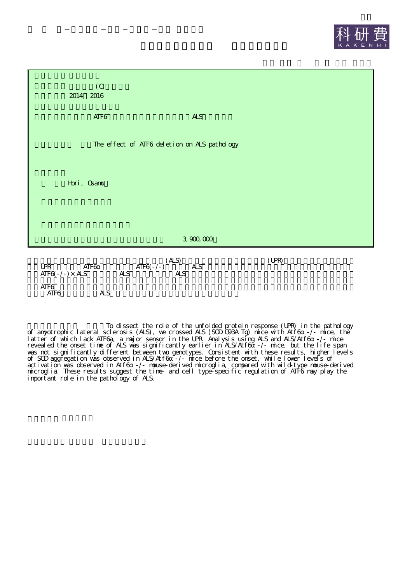



To dissect the role of the unfolded protein response (UPR) in the pathology of amyotrophic lateral sclerosis (ALS), we crossed ALS (SOD G93A Tg) mice with Atf6 -/- mice, the latter of which lack ATF6a, a major sensor in the UPR. Analysis using ALS and ALS/Atf6 -/- mice revealed the onset time of ALS was significantly earlier in ALS/Atf6 -/- mice, but the life span was not significantly different between two genotypes. Consistent with these results, higher levels of SOD aggregation was observed in ALS/Atf6 -/- mice before the onset, while lower levels of activation was observed in Atf6 -/- mouse-derived microglia, compared with wild-type mouse-derived microglia. These results suggest the time- and cell type-specific regulation of ATF6 may play the important role in the pathology of ALS.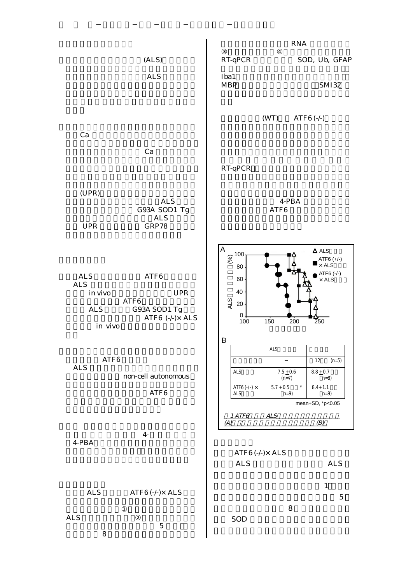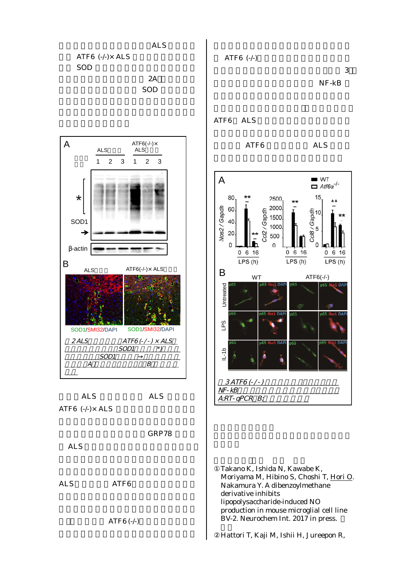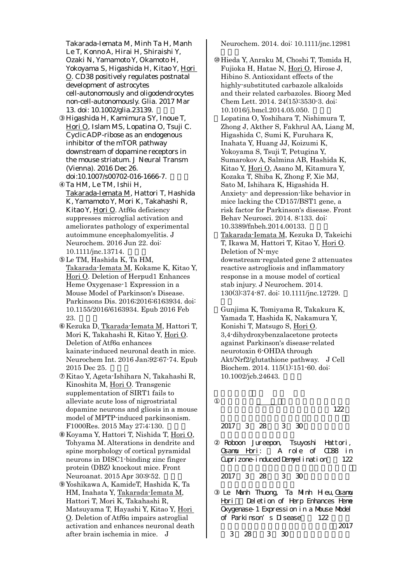Takarada-Iemata M, Minh Ta H, Manh Le T, Konno A, Hirai H, Shiraishi Y, Ozaki N, Yamamoto Y, Okamoto H, Yokoyama S, Higashida H, Kitao Y, Hori O. CD38 positively regulates postnatal development of astrocytes cell-autonomously and oligodendrocytes non-cell-autonomously. Glia. 2017 Mar 13. doi: 10.1002/glia.23139. Higashida H, Kamimura SY, Inoue T, Hori O, Islam MS, Lopatina O, Tsuji C. Cyclic ADP-ribose as an endogenous inhibitor of the mTOR pathway downstream of dopamine receptors in the mouse striatum. J Neural Transm (Vienna). 2016 Dec 26. doi:10.1007/s00702-016-1666-7. Ta HM, Le TM, Ishii H, Takarada-Iemata M, Hattori T, Hashida K, Yamamoto Y, Mori K, Takahashi R, Kitao Y, Hori O. Atf6α deficiency suppresses microglial activation and ameliorates pathology of experimental autoimmune encephalomyelitis. J Neurochem. 2016 Jun 22. doi: 10.1111/jnc.13714. Le TM, Hashida K, Ta HM, Takarada-Iemata M, Kokame K, Kitao Y, Hori O. Deletion of Herpud1 Enhances Heme Oxygenase-1 Expression in a Mouse Model of Parkinson's Disease. Parkinsons Dis. 2016;2016:6163934. doi: 10.1155/2016/6163934. Epub 2016 Feb 23. Kezuka D, Tkarada-Iemata M, Hattori T, Mori K, Takahashi R, Kitao Y, Hori O. Deletion of Atf6α enhances kainate-induced neuronal death in mice. Neurochem Int. 2016 Jan;92:67-74. Epub 2015 Dec 25. Kitao Y, Ageta-Ishihara N, Takahashi R, Kinoshita M, Hori O. Transgenic supplementation of SIRT1 fails to alleviate acute loss of nigrostriatal dopamine neurons and gliosis in a mouse model of MPTP-induced parkinsonism. F1000Res. 2015 May 27;4:130. Koyama Y, Hattori T, Nishida T, Hori O, Tohyama M. Alterations in dendrite and spine morphology of cortical pyramidal neurons in DISC1-binding zinc finger protein (DBZ) knockout mice. Front Neuroanat. 2015 Apr 30;9:52. Yoshikawa A, KamideT, Hashida K, Ta HM, Inahata Y, Takarada-Iemata M, Hattori T, Mori K, Takahashi R, Matsuyama T, Hayashi Y, Kitao Y, Hori O. Deletion of Atf6α impairs astroglial activation and enhances neuronal death after brain ischemia in mice. J

Neurochem. 2014. doi: 10.1111/jnc.12981

Hieda Y, Anraku M, Choshi T, Tomida H, Fujioka H, Hatae N, Hori O, Hirose J, Hibino S. Antioxidant effects of the highly-substituted carbazole alkaloids and their related carbazoles. Bioorg Med Chem Lett. 2014. 24(15):3530-3. doi: 10.1016/j.bmcl.2014.05.050. Lopatina O, Yoshihara T, Nishimura T, Zhong J, Akther S, Fakhrul AA, Liang M, Higashida C, Sumi K, Furuhara K, Inahata Y, Huang JJ, Koizumi K, Yokoyama S, Tsuji T, Petugina Y, Sumarokov A, Salmina AB, Hashida K, Kitao Y, Hori O, Asano M, Kitamura Y, Kozaka T, Shiba K, Zhong F, Xie MJ, Sato M, Ishihara K, Higashida H. Anxiety- and depression-like behavior in mice lacking the CD157/BST1 gene, a risk factor for Parkinson's disease. Front Behav Neurosci. 2014. 8:133. doi: 10.3389/fnbeh.2014.00133. Takarada-Iemata M, Kezuka D, Takeichi T, Ikawa M, Hattori T, Kitao Y, Hori O. Deletion of N-myc downstream-regulated gene 2 attenuates reactive astrogliosis and inflammatory response in a mouse model of cortical stab injury. J Neurochem. 2014. 130(3):374-87. doi: 10.1111/jnc.12729.

Gunjima K, Tomiyama R, Takakura K, Yamada T, Hashida K, Nakamura Y, Konishi T, Matsugo S, Hori O. 3,4-dihydroxybenzalacetone protects against Parkinson's disease-related neurotoxin 6-OHDA through Akt/Nrf2/glutathione pathway. J Cell Biochem. 2014. 115(1):151-60. doi: 10.1002/jcb.24643.

122

## 2017 3 28 3 30

Roboon Jureepon, Tsuyoshi Hattori, Osamu Hori: A role of CD38 in Cuprizone-induced Demyelination 122

2017 3 28 3 30

Le Manh Thuong, Ta Minh Heu, Grammu Hori Deletion of Herp Enhances Heme Oxygenase-1 Expression in a Muuse Model of Parkinson's Disease 122

3 28 3 30

2017